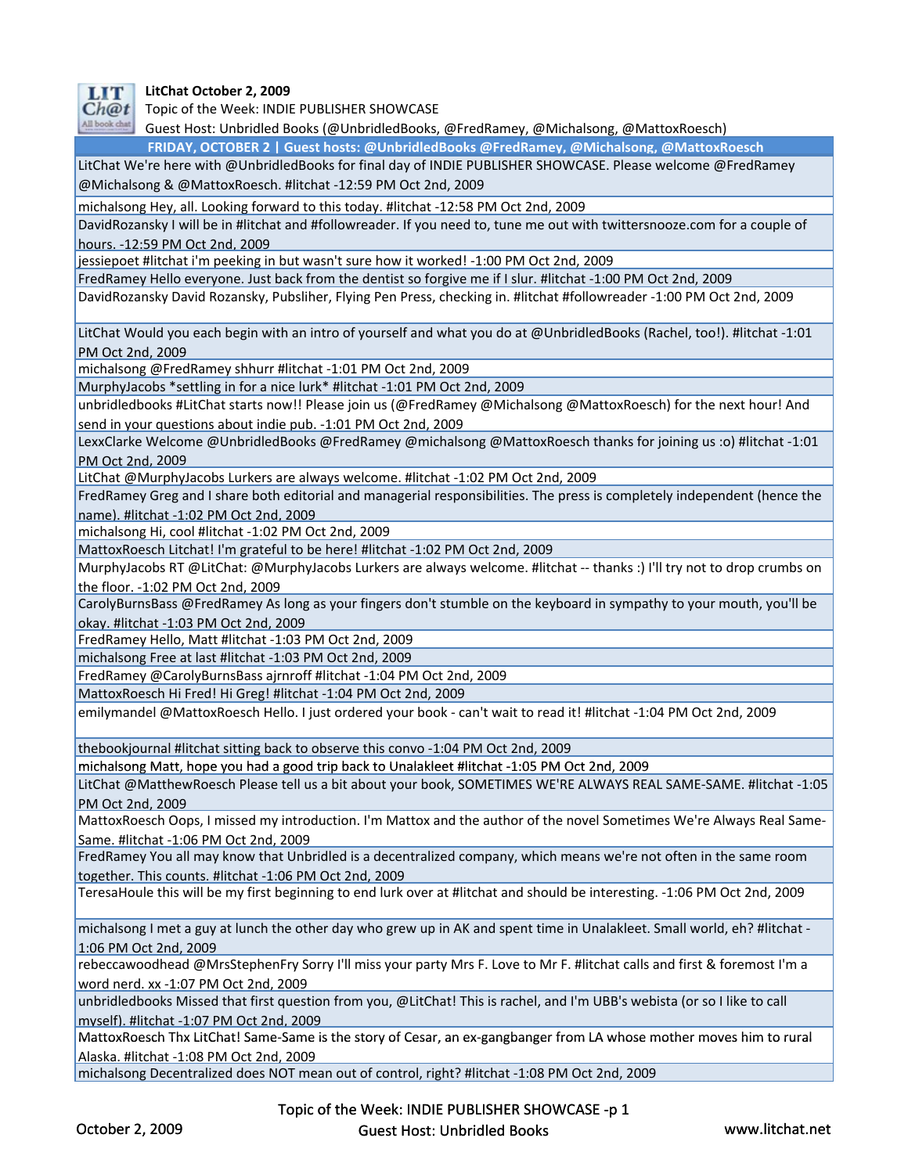

 **LitChat October 2, 2009**

Ch@t Topic of the Week: INDIE PUBLISHER SHOWCASE

All book chat Guest Host: Unbridled Books (@UnbridledBooks, @FredRamey, @Michalsong, @MattoxRoesch)

**FRIDAY, OCTOBER 2 | Guest hosts: @UnbridledBooks @FredRamey, @Michalsong, @MattoxRoesch**

LitChat We're here with @UnbridledBooks for final day of INDIE PUBLISHER SHOWCASE. Please welcome @FredRamey @Michalsong & @MattoxRoesch. #litchat ‐12:59 PM Oct 2nd, 2009

michalsong Hey, all. Looking forward to this today. #litchat ‐12:58 PM Oct 2nd, 2009

DavidRozansky I will be in #litchat and #followreader. If you need to, tune me out with twittersnooze.com for a couple of hours. ‐12:59 PM Oct 2nd, 2009

jessiepoet #litchat i'm peeking in but wasn't sure how it worked! ‐1:00 PM Oct 2nd, 2009

FredRamey Hello everyone. Just back from the dentist so forgive me if I slur. #litchat ‐1:00 PM Oct 2nd, 2009

DavidRozansky David Rozansky, Pubsliher, Flying Pen Press, checking in. #litchat #followreader ‐1:00 PM Oct 2nd, 2009

LitChat Would you each begin with an intro of yourself and what you do at @UnbridledBooks (Rachel, too!). #litchat ‐1:01 PM Oct 2nd, 2009

michalsong @FredRamey shhurr #litchat ‐1:01 PM Oct 2nd, 2009

MurphyJacobs \*settling in for a nice lurk\* #litchat ‐1:01 PM Oct 2nd, 2009

unbridledbooks #LitChat starts now!! Please join us (@FredRamey @Michalsong @MattoxRoesch) for the next hour! And send in your questions about indie pub. ‐1:01 PM Oct 2nd, 2009

LexxClarke Welcome @UnbridledBooks @FredRamey @michalsong @MattoxRoesch thanks for joining us :o) #litchat ‐1:01 PM Oct 2nd, 2009

LitChat @MurphyJacobs Lurkers are always welcome. #litchat ‐1:02 PM Oct 2nd, 2009

FredRamey Greg and I share both editorial and managerial responsibilities. The press is completely independent (hence the name). #litchat ‐1:02 PM Oct 2nd, 2009

michalsong Hi, cool #litchat ‐1:02 PM Oct 2nd, 2009

MattoxRoesch Litchat! I'm grateful to be here! #litchat ‐1:02 PM Oct 2nd, 2009

MurphyJacobs RT @LitChat: @MurphyJacobs Lurkers are always welcome. #litchat ‐‐ thanks :) I'll try not to drop crumbs on the floor. ‐1:02 PM Oct 2nd, 2009

CarolyBurnsBass @FredRamey As long as your fingers don't stumble on the keyboard in sympathy to your mouth, you'll be okay. #litchat ‐1:03 PM Oct 2nd, 2009

FredRamey Hello, Matt #litchat ‐1:03 PM Oct 2nd, 2009

michalsong Free at last #litchat ‐1:03 PM Oct 2nd, 2009

FredRamey @CarolyBurnsBass ajrnroff #litchat ‐1:04 PM Oct 2nd, 2009

MattoxRoesch Hi Fred! Hi Greg! #litchat ‐1:04 PM Oct 2nd, 2009

emilymandel @MattoxRoesch Hello. I just ordered your book ‐ can't wait to read it! #litchat ‐1:04 PM Oct 2nd, 2009

thebookjournal #litchat sitting back to observe this convo ‐1:04 PM Oct 2nd, 2009

michalsong Matt, hope you had a good trip back to Unalakleet #litchat ‐1:05 PM Oct 2nd, 2009

LitChat @MatthewRoesch Please tell us a bit about your book, SOMETIMES WE'RE ALWAYS REAL SAME‐SAME. #litchat ‐1:05 PM Oct 2nd, 2009

MattoxRoesch Oops, I missed my introduction. I'm Mattox and the author of the novel Sometimes We're Always Real Same‐ Same. #litchat ‐1:06 PM Oct 2nd, 2009

FredRamey You all may know that Unbridled is a decentralized company, which means we're not often in the same room together. This counts. #litchat ‐1:06 PM Oct 2nd, 2009

TeresaHoule this will be my first beginning to end lurk over at #litchat and should be interesting. ‐1:06 PM Oct 2nd, 2009

michalsong I met a guy at lunch the other day who grew up in AK and spent time in Unalakleet. Small world, eh? #litchat -1:06 PM Oct 2nd, 2009

rebeccawoodhead @MrsStephenFry Sorry I'll miss your party Mrs F. Love to Mr F. #litchat calls and first & foremost I'm a word nerd. xx ‐1:07 PM Oct 2nd, 2009

unbridledbooks Missed that first question from you, @LitChat! This is rachel, and I'm UBB's webista (or so I like to call myself). #litchat ‐1:07 PM Oct 2nd, 2009

MattoxRoesch Thx LitChat! Same‐Same is the story of Cesar, an ex‐gangbanger from LA whose mother moves him to rural Alaska. #litchat ‐1:08 PM Oct 2nd, 2009

michalsong Decentralized does NOT mean out of control, right? #litchat ‐1:08 PM Oct 2nd, 2009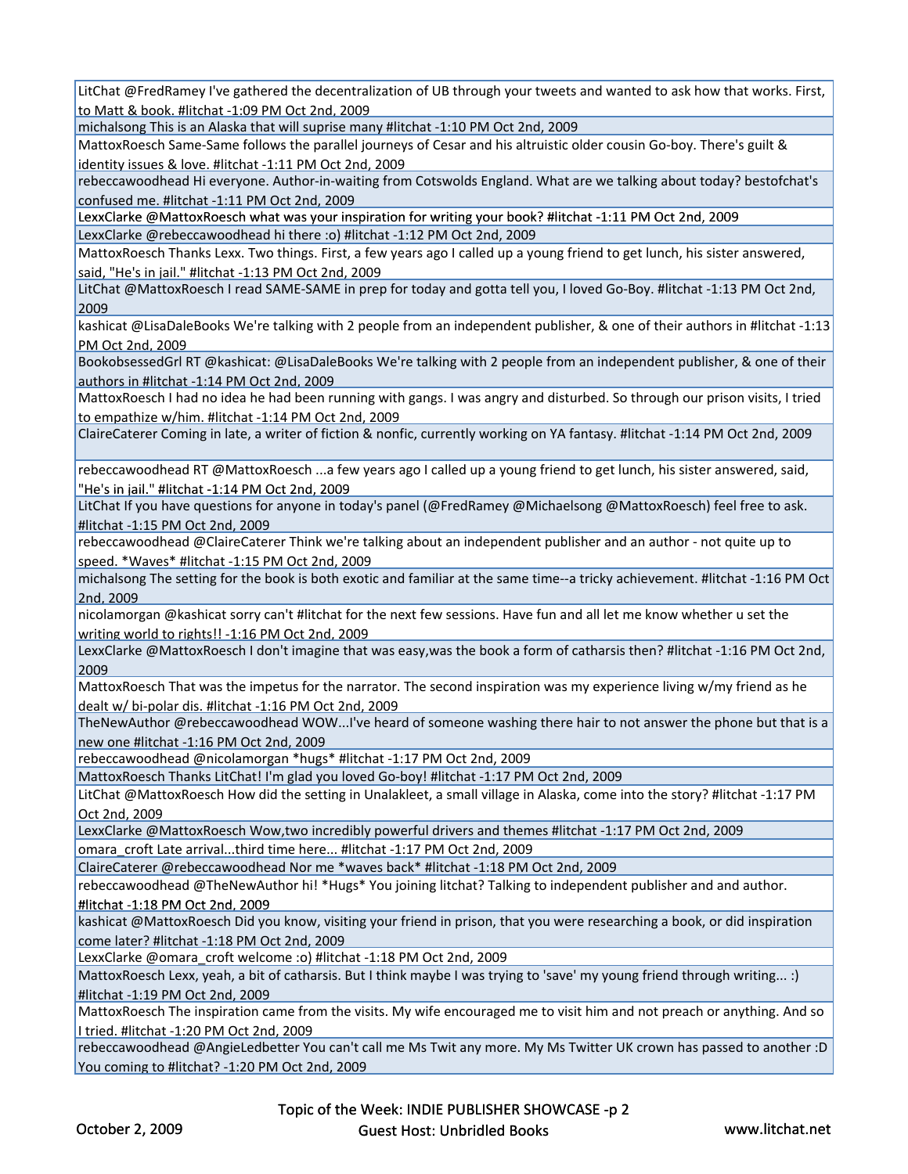LitChat @FredRamey I've gathered the decentralization of UB through your tweets and wanted to ask how that works. First, to Matt & book. #litchat ‐1:09 PM Oct 2nd, 2009

michalsong This is an Alaska that will suprise many #litchat ‐1:10 PM Oct 2nd, 2009

MattoxRoesch Same‐Same follows the parallel journeys of Cesar and his altruistic older cousin Go‐boy. There's guilt & identity issues & love. #litchat ‐1:11 PM Oct 2nd, 2009

rebeccawoodhead Hi everyone. Author‐in‐waiting from Cotswolds England. What are we talking about today? bestofchat's confused me. #litchat ‐1:11 PM Oct 2nd, 2009

LexxClarke @MattoxRoesch what was your inspiration for writing your book? #litchat -1:11 PM Oct 2nd, 2009 LexxClarke @rebeccawoodhead hi there :o) #litchat ‐1:12 PM Oct 2nd, 2009

MattoxRoesch Thanks Lexx. Two things. First, a few years ago I called up a young friend to get lunch, his sister answered, said, "He's in jail." #litchat ‐1:13 PM Oct 2nd, 2009

LitChat @MattoxRoesch I read SAME‐SAME in prep for today and gotta tell you, I loved Go‐Boy. #litchat ‐1:13 PM Oct 2nd, 2009

kashicat @LisaDaleBooks We're talking with 2 people from an independent publisher, & one of their authors in #litchat ‐1:13 PM Oct 2nd, 2009

BookobsessedGrl RT @kashicat: @LisaDaleBooks We're talking with 2 people from an independent publisher, & one of their authors in #litchat ‐1:14 PM Oct 2nd, 2009

MattoxRoesch I had no idea he had been running with gangs. I was angry and disturbed. So through our prison visits, I tried to empathize w/him. #litchat ‐1:14 PM Oct 2nd, 2009

ClaireCaterer Coming in late, a writer of fiction & nonfic, currently working on YA fantasy. #litchat ‐1:14 PM Oct 2nd, 2009

rebeccawoodhead RT @MattoxRoesch ...a few years ago I called up a young friend to get lunch, his sister answered, said, "He's in jail." #litchat -1:14 PM Oct 2nd, 2009

LitChat If you have questions for anyone in today's panel (@FredRamey @Michaelsong @MattoxRoesch) feel free to ask. #litchat ‐1:15 PM Oct 2nd, 2009

rebeccawoodhead @ClaireCaterer Think we're talking about an independent publisher and an author ‐ not quite up to speed. \*Waves\* #litchat ‐1:15 PM Oct 2nd, 2009

michalsong The setting for the book is both exotic and familiar at the same time‐‐a tricky achievement. #litchat ‐1:16 PM Oct 2nd, 2009

nicolamorgan @kashicat sorry can't #litchat for the next few sessions. Have fun and all let me know whether u set the writing world to rights!! -1:16 PM Oct 2nd, 2009

LexxClarke @MattoxRoesch I don't imagine that was easy,was the book a form of catharsis then? #litchat ‐1:16 PM Oct 2nd, 2009

MattoxRoesch That was the impetus for the narrator. The second inspiration was my experience living w/my friend as he dealt w/ bi‐polar dis. #litchat ‐1:16 PM Oct 2nd, 2009

TheNewAuthor @rebeccawoodhead WOW...I've heard of someone washing there hair to not answer the phone but that is a new one #litchat ‐1:16 PM Oct 2nd, 2009

rebeccawoodhead @nicolamorgan \*hugs\* #litchat -1:17 PM Oct 2nd, 2009

MattoxRoesch Thanks LitChat! I'm glad you loved Go‐boy! #litchat ‐1:17 PM Oct 2nd, 2009

LitChat @MattoxRoesch How did the setting in Unalakleet, a small village in Alaska, come into the story? #litchat ‐1:17 PM Oct 2nd, 2009

LexxClarke @MattoxRoesch Wow,two incredibly powerful drivers and themes #litchat ‐1:17 PM Oct 2nd, 2009

omara\_croft Late arrival...third time here... #litchat ‐1:17 PM Oct 2nd, 2009

ClaireCaterer @rebeccawoodhead Nor me \*waves back\* #litchat ‐1:18 PM Oct 2nd, 2009

rebeccawoodhead @TheNewAuthor hi! \*Hugs\* You joining litchat? Talking to independent publisher and and author. #litchat ‐1:18 PM Oct 2nd, 2009

kashicat @MattoxRoesch Did you know, visiting your friend in prison, that you were researching a book, or did inspiration come later? #litchat ‐1:18 PM Oct 2nd, 2009

LexxClarke @omara\_croft welcome :o) #litchat ‐1:18 PM Oct 2nd, 2009

MattoxRoesch Lexx, yeah, a bit of catharsis. But I think maybe I was trying to 'save' my young friend through writing... :) #litchat ‐1:19 PM Oct 2nd, 2009

MattoxRoesch The inspiration came from the visits. My wife encouraged me to visit him and not preach or anything. And so I tried. #litchat ‐1:20 PM Oct 2nd, 2009

rebeccawoodhead @AngieLedbetter You can't call me Ms Twit any more. My Ms Twitter UK crown has passed to another :D You coming to #litchat? ‐1:20 PM Oct 2nd, 2009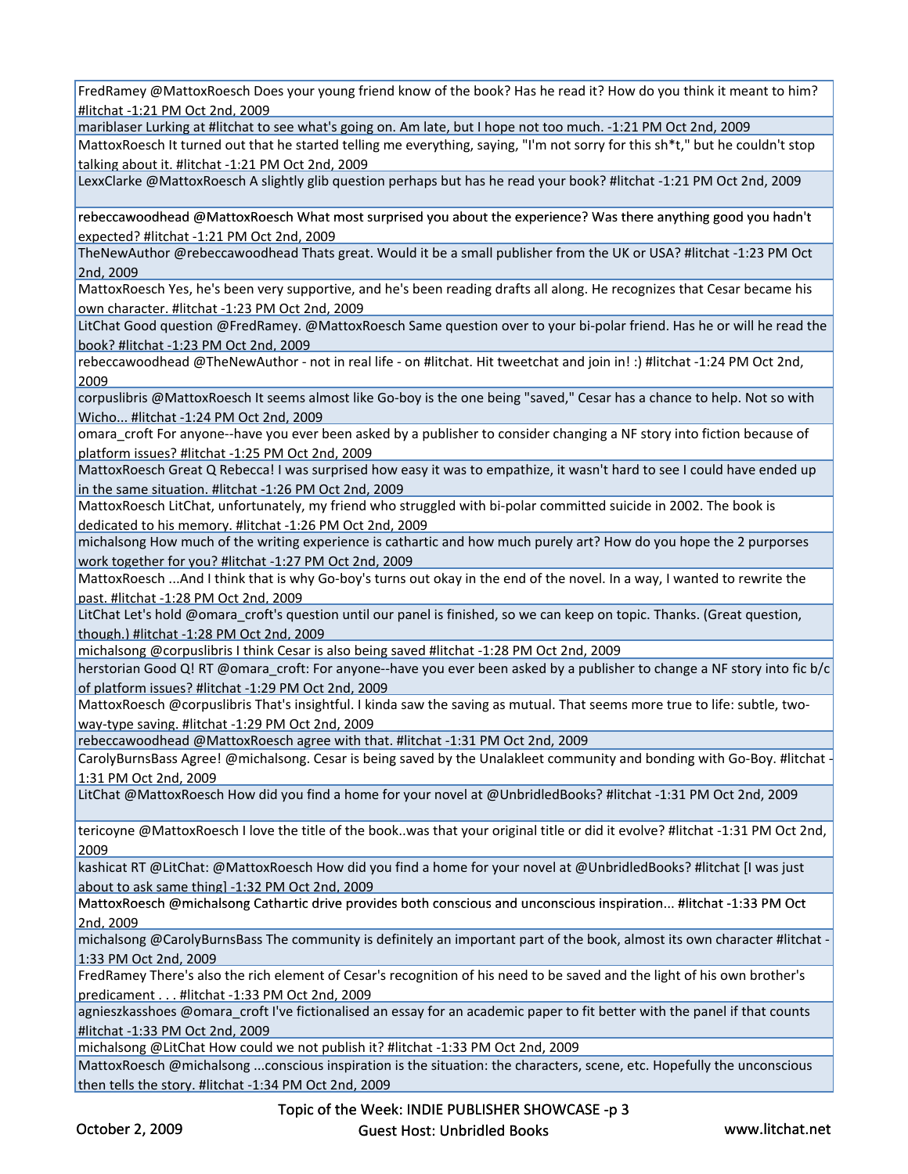FredRamey @MattoxRoesch Does your young friend know of the book? Has he read it? How do you think it meant to him? #litchat ‐1:21 PM Oct 2nd, 2009

mariblaser Lurking at #litchat to see what's going on. Am late, but I hope not too much. ‐1:21 PM Oct 2nd, 2009

MattoxRoesch It turned out that he started telling me everything, saying, "I'm not sorry for this sh\*t," but he couldn't stop talking about it. #litchat ‐1:21 PM Oct 2nd, 2009

LexxClarke @MattoxRoesch A slightly glib question perhaps but has he read your book? #litchat ‐1:21 PM Oct 2nd, 2009

rebeccawoodhead @MattoxRoesch What most surprised you about the experience? Was there anything good you hadn't<br>expected? #litchat -1:21 PM Oct 2nd, 2009

TheNewAuthor @rebeccawoodhead Thats great. Would it be a small publisher from the UK or USA? #litchat ‐1:23 PM Oct 2nd, 2009

MattoxRoesch Yes, he's been very supportive, and he's been reading drafts all along. He recognizes that Cesar became his own character. #litchat ‐1:23 PM Oct 2nd, 2009

LitChat Good question @FredRamey. @MattoxRoesch Same question over to your bi-polar friend. Has he or will he read the book? #litchat ‐1:23 PM Oct 2nd, 2009

rebeccawoodhead @TheNewAuthor ‐ not in real life ‐ on #litchat. Hit tweetchat and join in! :) #litchat ‐1:24 PM Oct 2nd, 2009

corpuslibris @MattoxRoesch It seems almost like Go‐boy is the one being "saved," Cesar has a chance to help. Not so with Wicho... #litchat ‐1:24 PM Oct 2nd, 2009

omara croft For anyone--have you ever been asked by a publisher to consider changing a NF story into fiction because of platform issues? #litchat ‐1:25 PM Oct 2nd, 2009

MattoxRoesch Great Q Rebecca! I was surprised how easy it was to empathize, it wasn't hard to see I could have ended up in the same situation. #litchat -1:26 PM Oct 2nd, 2009

MattoxRoesch LitChat, unfortunately, my friend who struggled with bi‐polar committed suicide in 2002. The book is dedicated to his memory. #litchat ‐1:26 PM Oct 2nd, 2009

michalsong How much of the writing experience is cathartic and how much purely art? How do you hope the 2 purporses work together for you? #litchat ‐1:27 PM Oct 2nd, 2009

MattoxRoesch ...And I think that is why Go-boy's turns out okay in the end of the novel. In a way, I wanted to rewrite the past. #litchat ‐1:28 PM Oct 2nd, 2009

LitChat Let's hold @omara\_croft's question until our panel is finished, so we can keep on topic. Thanks. (Great question, though.) #litchat -1:28 PM Oct 2nd, 2009

michalsong @corpuslibris I think Cesar is also being saved #litchat ‐1:28 PM Oct 2nd, 2009

herstorian Good Q! RT @omara\_croft: For anyone--have you ever been asked by a publisher to change a NF story into fic b/c of platform issues? #litchat ‐1:29 PM Oct 2nd, 2009

MattoxRoesch @corpuslibris That's insightful. I kinda saw the saving as mutual. That seems more true to life: subtle, twoway‐type saving. #litchat ‐1:29 PM Oct 2nd, 2009

rebeccawoodhead @MattoxRoesch agree with that. #litchat ‐1:31 PM Oct 2nd, 2009

CarolyBurnsBass Agree! @michalsong. Cesar is being saved by the Unalakleet community and bonding with Go-Boy. #litchat – 1:31 PM Oct 2nd, 2009

LitChat @MattoxRoesch How did you find a home for your novel at @UnbridledBooks? #litchat ‐1:31 PM Oct 2nd, 2009

tericoyne @MattoxRoesch I love the title of the book..was that your original title or did it evolve? #litchat ‐1:31 PM Oct 2nd, 2009

kashicat RT @LitChat: @MattoxRoesch How did you find a home for your novel at @UnbridledBooks? #litchat [I was just about to ask same thing] ‐1:32 PM Oct 2nd, 2009

MattoxRoesch @michalsong Cathartic drive provides both conscious and unconscious inspiration... #litchat -1:33 PM Oct 2nd, 2009

michalsong @CarolyBurnsBass The community is definitely an important part of the book, almost its own character #litchat ‐ 1:33 PM Oct 2nd, 2009

FredRamey There's also the rich element of Cesar's recognition of his need to be saved and the light of his own brother's predicament . . . #litchat ‐1:33 PM Oct 2nd, 2009

agnieszkasshoes @omara\_croft I've fictionalised an essay for an academic paper to fit better with the panel if that counts #litchat ‐1:33 PM Oct 2nd, 2009

michalsong @LitChat How could we not publish it? #litchat ‐1:33 PM Oct 2nd, 2009

MattoxRoesch @michalsong ...conscious inspiration is the situation: the characters, scene, etc. Hopefully the unconscious then tells the story. #litchat ‐1:34 PM Oct 2nd, 2009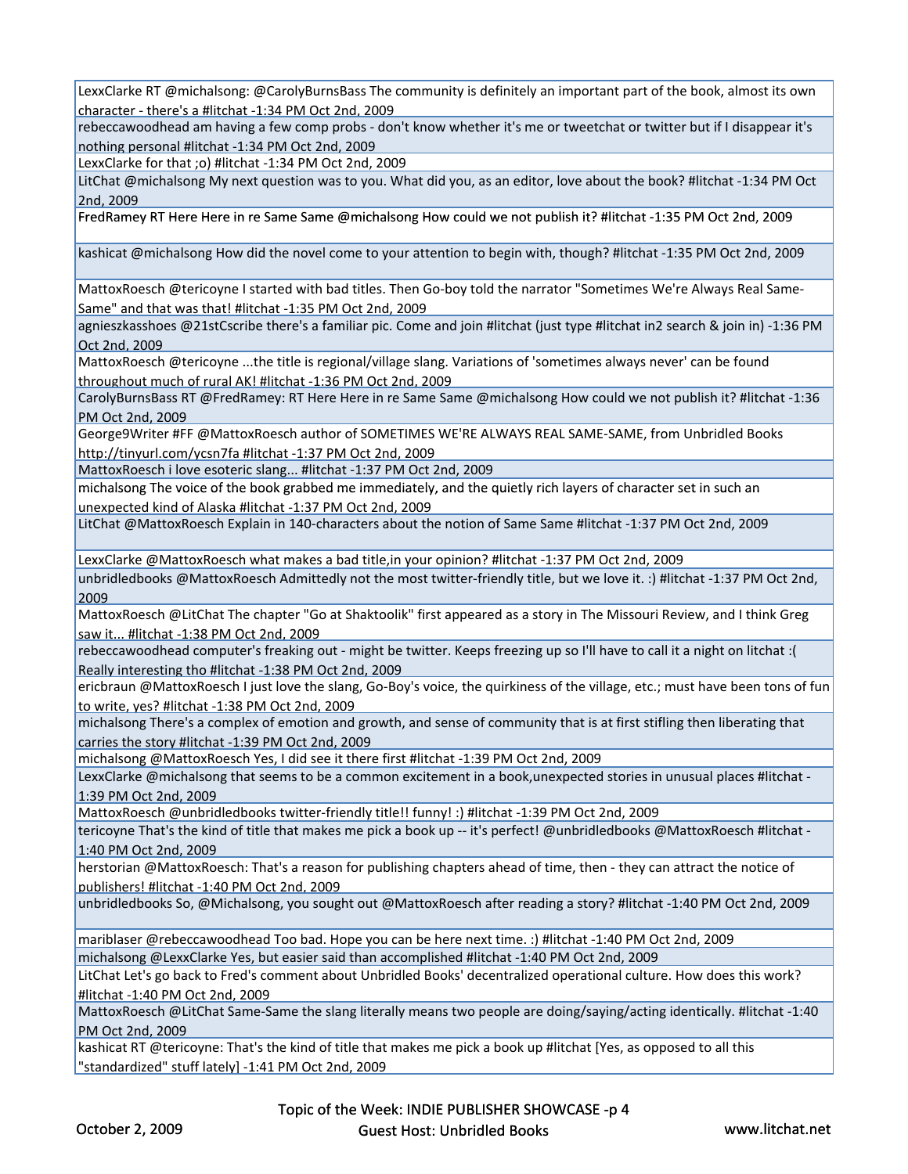LexxClarke RT @michalsong: @CarolyBurnsBass The community is definitely an important part of the book, almost its own character ‐ there's a #litchat ‐1:34 PM Oct 2nd, 2009

rebeccawoodhead am having a few comp probs - don't know whether it's me or tweetchat or twitter but if I disappear it's nothing personal #litchat ‐1:34 PM Oct 2nd, 2009

LexxClarke for that ;o) #litchat ‐1:34 PM Oct 2nd, 2009

LitChat @michalsong My next question was to you. What did you, as an editor, love about the book? #litchat ‐1:34 PM Oct 2nd, 2009

FredRamey RT Here Here in re Same Same @michalsong How could we not publish it? #litchat -1:35 PM Oct 2nd, 2009

kashicat @michalsong How did the novel come to your attention to begin with, though? #litchat ‐1:35 PM Oct 2nd, 2009

MattoxRoesch @tericoyne I started with bad titles. Then Go‐boy told the narrator "Sometimes We're Always Real Same‐ Same" and that was that! #litchat ‐1:35 PM Oct 2nd, 2009

agnieszkasshoes @21stCscribe there's a familiar pic. Come and join #litchat (just type #litchat in2 search & join in) ‐1:36 PM Oct 2nd, 2009

MattoxRoesch @tericoyne ...the title is regional/village slang. Variations of 'sometimes always never' can be found throughout much of rural AK! #litchat ‐1:36 PM Oct 2nd, 2009

CarolyBurnsBass RT @FredRamey: RT Here Here in re Same Same @michalsong How could we not publish it? #litchat ‐1:36 PM Oct 2nd, 2009

George9Writer #FF @MattoxRoesch author of SOMETIMES WE'RE ALWAYS REAL SAME‐SAME, from Unbridled Books http://tinyurl.com/ycsn7fa #litchat ‐1:37 PM Oct 2nd, 2009

MattoxRoesch i love esoteric slang... #litchat ‐1:37 PM Oct 2nd, 2009

michalsong The voice of the book grabbed me immediately, and the quietly rich layers of character set in such an unexpected kind of Alaska #litchat ‐1:37 PM Oct 2nd, 2009

LitChat @MattoxRoesch Explain in 140‐characters about the notion of Same Same #litchat ‐1:37 PM Oct 2nd, 2009

LexxClarke @MattoxRoesch what makes a bad title,in your opinion? #litchat ‐1:37 PM Oct 2nd, 2009

unbridledbooks @MattoxRoesch Admittedly not the most twitter‐friendly title, but we love it. :) #litchat ‐1:37 PM Oct 2nd, 2009

MattoxRoesch @LitChat The chapter "Go at Shaktoolik" first appeared as a story in The Missouri Review, and I think Greg saw it... #litchat -1:38 PM Oct 2nd, 2009

rebeccawoodhead computer's freaking out ‐ might be twitter. Keeps freezing up so I'll have to call it a night on litchat :( Really interesting tho #litchat ‐1:38 PM Oct 2nd, 2009

ericbraun @MattoxRoesch I just love the slang, Go-Boy's voice, the quirkiness of the village, etc.; must have been tons of fun to write, yes? #litchat ‐1:38 PM Oct 2nd, 2009

michalsong There's a complex of emotion and growth, and sense of community that is at first stifling then liberating that carries the story #litchat ‐1:39 PM Oct 2nd, 2009

michalsong @MattoxRoesch Yes, I did see it there first #litchat ‐1:39 PM Oct 2nd, 2009

LexxClarke @michalsong that seems to be a common excitement in a book,unexpected stories in unusual places #litchat -1:39 PM Oct 2nd, 2009

MattoxRoesch @unbridledbooks twitter‐friendly title!! funny! :) #litchat ‐1:39 PM Oct 2nd, 2009

tericoyne That's the kind of title that makes me pick a book up ‐‐ it's perfect! @unbridledbooks @MattoxRoesch #litchat ‐ 1:40 PM Oct 2nd, 2009

herstorian @MattoxRoesch: That's a reason for publishing chapters ahead of time, then - they can attract the notice of publishers! #litchat ‐1:40 PM Oct 2nd, 2009

unbridledbooks So, @Michalsong, you sought out @MattoxRoesch after reading a story? #litchat -1:40 PM Oct 2nd, 2009

mariblaser @rebeccawoodhead Too bad. Hope you can be here next time. :) #litchat ‐1:40 PM Oct 2nd, 2009 michalsong @LexxClarke Yes, but easier said than accomplished #litchat ‐1:40 PM Oct 2nd, 2009

LitChat Let's go back to Fred's comment about Unbridled Books' decentralized operational culture. How does this work? #litchat ‐1:40 PM Oct 2nd, 2009

MattoxRoesch @LitChat Same‐Same the slang literally means two people are doing/saying/acting identically. #litchat ‐1:40 PM Oct 2nd, 2009

kashicat RT @tericoyne: That's the kind of title that makes me pick a book up #litchat [Yes, as opposed to all this "standardized" stuff lately] ‐1:41 PM Oct 2nd, 2009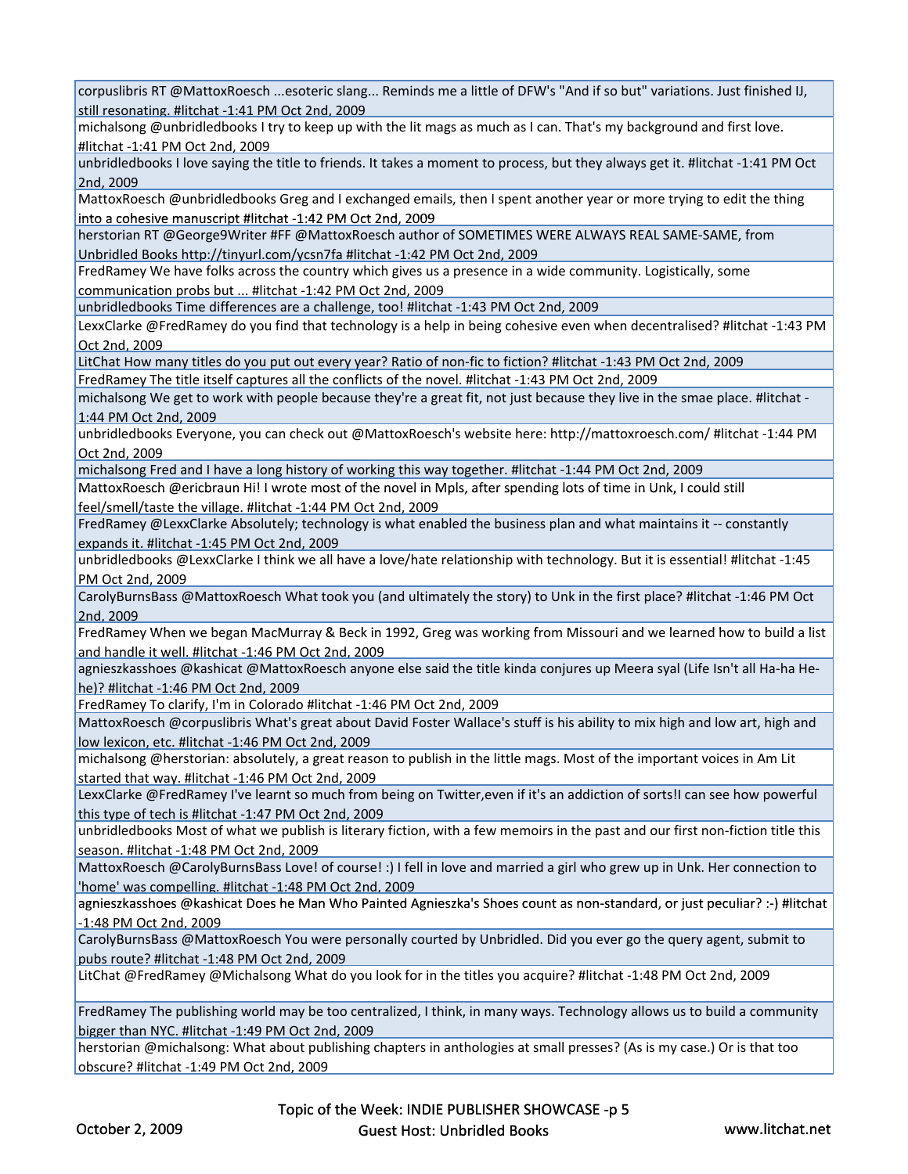corpuslibris RT @MattoxRoesch ...esoteric slang... Reminds me a little of DFW's "And if so but" variations. Just finished IJ, still resonating. #litchat ‐1:41 PM Oct 2nd, 2009

michalsong @unbridledbooks I try to keep up with the lit mags as much as I can. That's my background and first love. #litchat ‐1:41 PM Oct 2nd, 2009

unbridledbooks I love saying the title to friends. It takes a moment to process, but they always get it. #litchat ‐1:41 PM Oct 2nd, 2009

MattoxRoesch @unbridledbooks Greg and I exchanged emails, then I spent another year or more trying to edit the thing into a cohesive manuscript #litchat -1:42 PM Oct 2nd, 2009

herstorian RT @George9Writer #FF @MattoxRoesch author of SOMETIMES WERE ALWAYS REAL SAME‐SAME, from Unbridled Books http://tinyurl.com/ycsn7fa #litchat ‐1:42 PM Oct 2nd, 2009

FredRamey We have folks across the country which gives us a presence in a wide community. Logistically, some communication probs but ... #litchat ‐1:42 PM Oct 2nd, 2009

unbridledbooks Time differences are a challenge, too! #litchat ‐1:43 PM Oct 2nd, 2009

LexxClarke @FredRamey do you find that technology is a help in being cohesive even when decentralised? #litchat ‐1:43 PM Oct 2nd, 2009

LitChat How many titles do you put out every year? Ratio of non‐fic to fiction? #litchat ‐1:43 PM Oct 2nd, 2009 FredRamey The title itself captures all the conflicts of the novel. #litchat ‐1:43 PM Oct 2nd, 2009

michalsong We get to work with people because they're a great fit, not just because they live in the smae place. #litchat ‐ 1:44 PM Oct 2nd, 2009

unbridledbooks Everyone, you can check out @MattoxRoesch's website here: http://mattoxroesch.com/ #litchat ‐1:44 PM Oct 2nd, 2009

michalsong Fred and I have a long history of working this way together. #litchat ‐1:44 PM Oct 2nd, 2009

MattoxRoesch @ericbraun Hi! I wrote most of the novel in Mpls, after spending lots of time in Unk, I could still feel/smell/taste the village. #litchat ‐1:44 PM Oct 2nd, 2009

FredRamey @LexxClarke Absolutely; technology is what enabled the business plan and what maintains it ‐‐ constantly expands it. #litchat ‐1:45 PM Oct 2nd, 2009

unbridledbooks @LexxClarke I think we all have a love/hate relationship with technology. But it is essential! #litchat ‐1:45 PM Oct 2nd, 2009

CarolyBurnsBass @MattoxRoesch What took you (and ultimately the story) to Unk in the first place? #litchat ‐1:46 PM Oct 2nd, 2009

FredRamey When we began MacMurray & Beck in 1992, Greg was working from Missouri and we learned how to build a list and handle it well. #litchat ‐1:46 PM Oct 2nd, 2009

agnieszkasshoes @kashicat @MattoxRoesch anyone else said the title kinda conjures up Meera syal (Life Isn't all Ha‐ha He‐ he)? #litchat ‐1:46 PM Oct 2nd, 2009

FredRamey To clarify, I'm in Colorado #litchat ‐1:46 PM Oct 2nd, 2009

MattoxRoesch @corpuslibris What's great about David Foster Wallace's stuff is his ability to mix high and low art, high and low lexicon, etc. #litchat ‐1:46 PM Oct 2nd, 2009

michalsong @herstorian: absolutely, a great reason to publish in the little mags. Most of the important voices in Am Lit started that way. #litchat ‐1:46 PM Oct 2nd, 2009

LexxClarke @FredRamey I've learnt so much from being on Twitter,even if it's an addiction of sorts!I can see how powerful this type of tech is #litchat ‐1:47 PM Oct 2nd, 2009

unbridledbooks Most of what we publish is literary fiction, with a few memoirs in the past and our first non‐fiction title this season. #litchat ‐1:48 PM Oct 2nd, 2009

MattoxRoesch @CarolyBurnsBass Love! of course! :) I fell in love and married a girl who grew up in Unk. Her connection to 'home' was compelling. #litchat ‐1:48 PM Oct 2nd, 2009

agnieszkasshoes @kashicat Does he Man Who Painted Agnieszka's Shoes count as non-standard, or just peculiar? :-) #litchat ‐1:48 PM Oct 2nd, 2009

CarolyBurnsBass @MattoxRoesch You were personally courted by Unbridled. Did you ever go the query agent, submit to pubs route? #litchat ‐1:48 PM Oct 2nd, 2009

LitChat @FredRamey @Michalsong What do you look for in the titles you acquire? #litchat ‐1:48 PM Oct 2nd, 2009

FredRamey The publishing world may be too centralized, I think, in many ways. Technology allows us to build a community bigger than NYC. #litchat ‐1:49 PM Oct 2nd, 2009

herstorian @michalsong: What about publishing chapters in anthologies at small presses? (As is my case.) Or is that too obscure? #litchat ‐1:49 PM Oct 2nd, 2009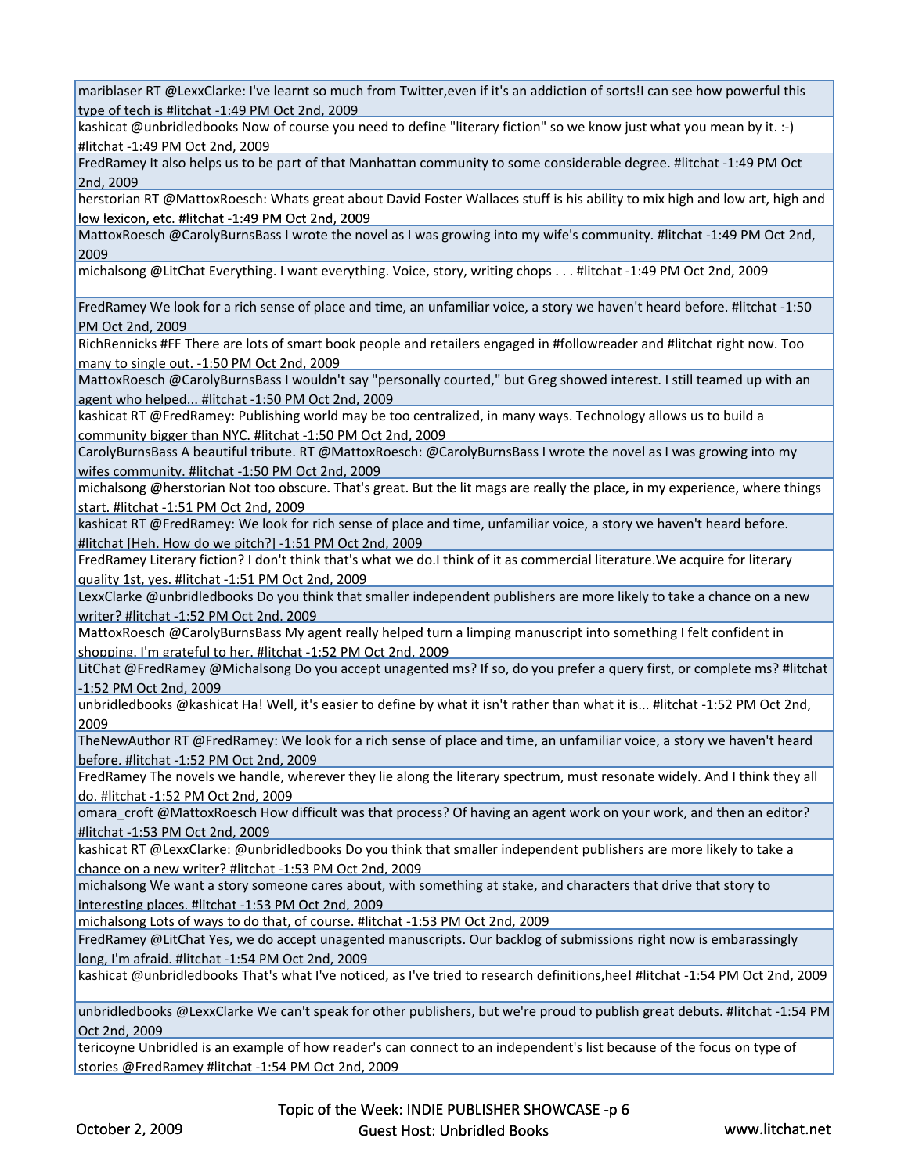mariblaser RT @LexxClarke: I've learnt so much from Twitter,even if it's an addiction of sorts!I can see how powerful this type of tech is #litchat ‐1:49 PM Oct 2nd, 2009

kashicat @unbridledbooks Now of course you need to define "literary fiction" so we know just what you mean by it. :‐) #litchat ‐1:49 PM Oct 2nd, 2009

FredRamey It also helps us to be part of that Manhattan community to some considerable degree. #litchat ‐1:49 PM Oct 2nd, 2009

herstorian RT @MattoxRoesch: Whats great about David Foster Wallaces stuff is his ability to mix high and low art, high and <u>low lexicon, etc. #litchat -1:49 PM Oct 2nd, 2009</u>

MattoxRoesch @CarolyBurnsBass I wrote the novel as I was growing into my wife's community. #litchat ‐1:49 PM Oct 2nd, 2009

michalsong @LitChat Everything. I want everything. Voice, story, writing chops . . . #litchat ‐1:49 PM Oct 2nd, 2009

FredRamey We look for a rich sense of place and time, an unfamiliar voice, a story we haven't heard before. #litchat ‐1:50 PM Oct 2nd, 2009

RichRennicks #FF There are lots of smart book people and retailers engaged in #followreader and #litchat right now. Too many to single out. ‐1:50 PM Oct 2nd, 2009

MattoxRoesch @CarolyBurnsBass I wouldn't say "personally courted," but Greg showed interest. I still teamed up with an agent who helped... #litchat ‐1:50 PM Oct 2nd, 2009

kashicat RT @FredRamey: Publishing world may be too centralized, in many ways. Technology allows us to build a community bigger than NYC. #litchat ‐1:50 PM Oct 2nd, 2009

CarolyBurnsBass A beautiful tribute. RT @MattoxRoesch: @CarolyBurnsBass I wrote the novel as I was growing into my wifes community. #litchat ‐1:50 PM Oct 2nd, 2009

michalsong @herstorian Not too obscure. That's great. But the lit mags are really the place, in my experience, where things start. #litchat ‐1:51 PM Oct 2nd, 2009

kashicat RT @FredRamey: We look for rich sense of place and time, unfamiliar voice, a story we haven't heard before. #litchat [Heh. How do we pitch?] ‐1:51 PM Oct 2nd, 2009

FredRamey Literary fiction? I don't think that's what we do.I think of it as commercial literature.We acquire for literary quality 1st, yes. #litchat ‐1:51 PM Oct 2nd, 2009

LexxClarke @unbridledbooks Do you think that smaller independent publishers are more likely to take a chance on a new writer? #litchat ‐1:52 PM Oct 2nd, 2009

MattoxRoesch @CarolyBurnsBass My agent really helped turn a limping manuscript into something I felt confident in shopping. I'm grateful to her. #litchat ‐1:52 PM Oct 2nd, 2009

LitChat @FredRamey @Michalsong Do you accept unagented ms? If so, do you prefer a query first, or complete ms? #litchat ‐1:52 PM Oct 2nd, 2009

unbridledbooks @kashicat Ha! Well, it's easier to define by what it isn't rather than what it is... #litchat ‐1:52 PM Oct 2nd, 2009

TheNewAuthor RT @FredRamey: We look for a rich sense of place and time, an unfamiliar voice, a story we haven't heard before. #litchat ‐1:52 PM Oct 2nd, 2009

FredRamey The novels we handle, wherever they lie along the literary spectrum, must resonate widely. And I think they all do. #litchat ‐1:52 PM Oct 2nd, 2009

omara croft @MattoxRoesch How difficult was that process? Of having an agent work on your work, and then an editor? #litchat ‐1:53 PM Oct 2nd, 2009

kashicat RT @LexxClarke: @unbridledbooks Do you think that smaller independent publishers are more likely to take a chance on a new writer? #litchat ‐1:53 PM Oct 2nd, 2009

michalsong We want a story someone cares about, with something at stake, and characters that drive that story to interesting places. #litchat -1:53 PM Oct 2nd, 2009

michalsong Lots of ways to do that, of course. #litchat ‐1:53 PM Oct 2nd, 2009

FredRamey @LitChat Yes, we do accept unagented manuscripts. Our backlog of submissions right now is embarassingly long, I'm afraid. #litchat ‐1:54 PM Oct 2nd, 2009

kashicat @unbridledbooks That's what I've noticed, as I've tried to research definitions,hee! #litchat ‐1:54 PM Oct 2nd, 2009

unbridledbooks @LexxClarke We can't speak for other publishers, but we're proud to publish great debuts. #litchat -1:54 PM Oct 2nd, 2009

tericoyne Unbridled is an example of how reader's can connect to an independent's list because of the focus on type of stories @FredRamey #litchat ‐1:54 PM Oct 2nd, 2009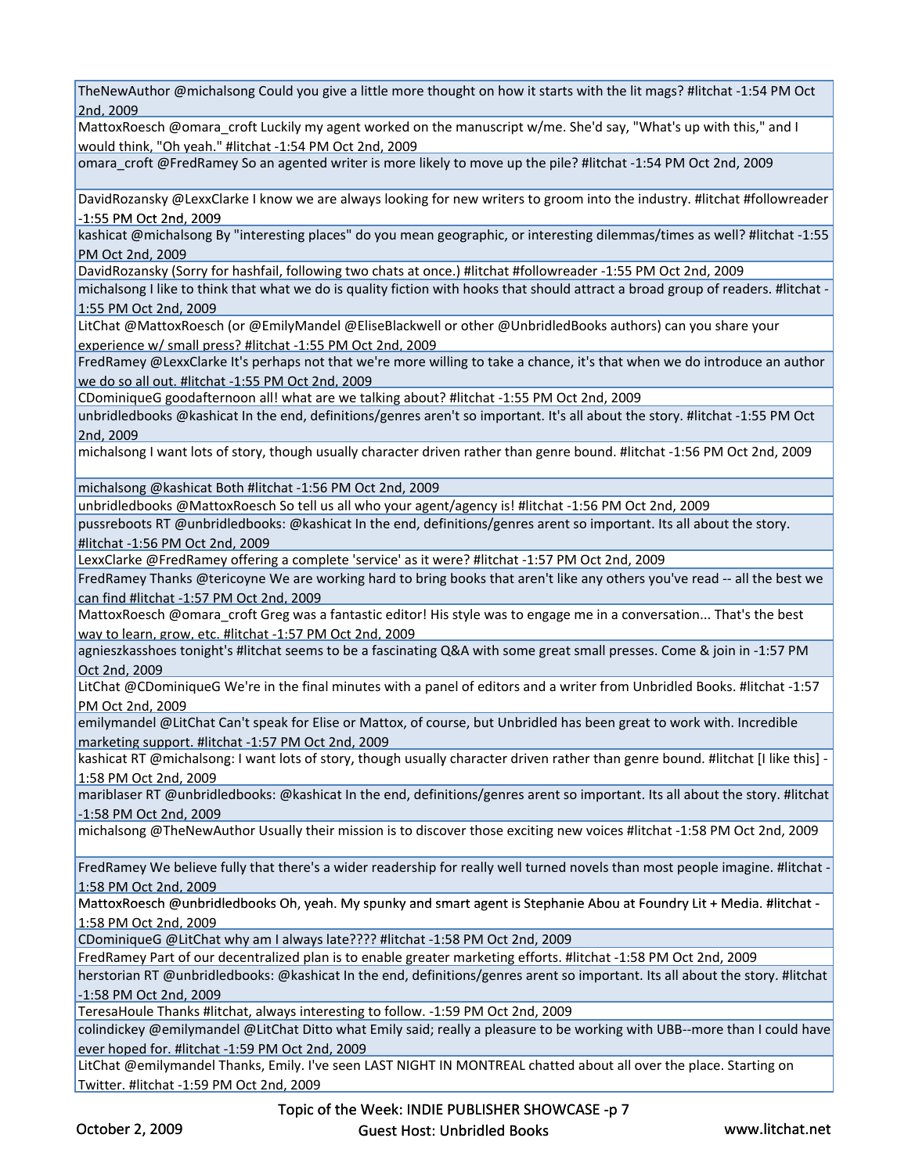TheNewAuthor @michalsong Could you give a little more thought on how it starts with the lit mags? #litchat ‐1:54 PM Oct 2nd, 2009

MattoxRoesch @omara\_croft Luckily my agent worked on the manuscript w/me. She'd say, "What's up with this," and I would think, "Oh yeah." #litchat ‐1:54 PM Oct 2nd, 2009

omara\_croft @FredRamey So an agented writer is more likely to move up the pile? #litchat ‐1:54 PM Oct 2nd, 2009

DavidRozansky @LexxClarke I know we are always looking for new writers to groom into the industry. #litchat #followreader 1:55 PM Oct 2nd, 2009

kashicat @michalsong By "interesting places" do you mean geographic, or interesting dilemmas/times as well? #litchat ‐1:55 PM Oct 2nd, 2009

DavidRozansky (Sorry for hashfail, following two chats at once.) #litchat #followreader ‐1:55 PM Oct 2nd, 2009

michalsong I like to think that what we do is quality fiction with hooks that should attract a broad group of readers. #litchat ‐ 1:55 PM Oct 2nd, 2009

LitChat @MattoxRoesch (or @EmilyMandel @EliseBlackwell or other @UnbridledBooks authors) can you share your experience w/ small press? #litchat ‐1:55 PM Oct 2nd, 2009

FredRamey @LexxClarke It's perhaps not that we're more willing to take a chance, it's that when we do introduce an author we do so all out. #litchat ‐1:55 PM Oct 2nd, 2009

CDominiqueG goodafternoon all! what are we talking about? #litchat ‐1:55 PM Oct 2nd, 2009

unbridledbooks @kashicat In the end, definitions/genres aren't so important. It's all about the story. #litchat ‐1:55 PM Oct 2nd, 2009

michalsong I want lots of story, though usually character driven rather than genre bound. #litchat ‐1:56 PM Oct 2nd, 2009

michalsong @kashicat Both #litchat -1:56 PM Oct 2nd, 2009

unbridledbooks @MattoxRoesch So tell us all who your agent/agency is! #litchat ‐1:56 PM Oct 2nd, 2009

pussreboots RT @unbridledbooks: @kashicat In the end, definitions/genres arent so important. Its all about the story. #litchat ‐1:56 PM Oct 2nd, 2009

LexxClarke @FredRamey offering a complete 'service' as it were? #litchat ‐1:57 PM Oct 2nd, 2009

FredRamey Thanks @tericoyne We are working hard to bring books that aren't like any others you've read ‐‐ all the best we can find #litchat ‐1:57 PM Oct 2nd, 2009

MattoxRoesch @omara\_croft Greg was a fantastic editor! His style was to engage me in a conversation... That's the best way to learn, grow, etc. #litchat -1:57 PM Oct 2nd, 2009

agnieszkasshoes tonight's #litchat seems to be a fascinating Q&A with some great small presses. Come & join in ‐1:57 PM Oct 2nd, 2009

LitChat @CDominiqueG We're in the final minutes with a panel of editors and a writer from Unbridled Books. #litchat ‐1:57 PM Oct 2nd, 2009

emilymandel @LitChat Can't speak for Elise or Mattox, of course, but Unbridled has been great to work with. Incredible marketing support. #litchat ‐1:57 PM Oct 2nd, 2009

kashicat RT @michalsong: I want lots of story, though usually character driven rather than genre bound. #litchat [I like this] 1:58 PM Oct 2nd, 2009

mariblaser RT @unbridledbooks: @kashicat In the end, definitions/genres arent so important. Its all about the story. #litchat ‐1:58 PM Oct 2nd, 2009

michalsong @TheNewAuthor Usually their mission is to discover those exciting new voices #litchat ‐1:58 PM Oct 2nd, 2009

FredRamey We believe fully that there's a wider readership for really well turned novels than most people imagine. #litchat -1:58 PM Oct 2nd, 2009

MattoxRoesch @unbridledbooks Oh, yeah. My spunky and smart agent is Stephanie Abou at Foundry Lit + Media. #litchat -1:58 PM Oct 2nd, 2009

CDominiqueG @LitChat why am I always late???? #litchat ‐1:58 PM Oct 2nd, 2009

FredRamey Part of our decentralized plan is to enable greater marketing efforts. #litchat ‐1:58 PM Oct 2nd, 2009

herstorian RT @unbridledbooks: @kashicat In the end, definitions/genres arent so important. Its all about the story. #litchat ‐1:58 PM Oct 2nd, 2009

TeresaHoule Thanks #litchat, always interesting to follow. ‐1:59 PM Oct 2nd, 2009

colindickey @emilymandel @LitChat Ditto what Emily said; really a pleasure to be working with UBB--more than I could have ever hoped for. #litchat ‐1:59 PM Oct 2nd, 2009

LitChat @emilymandel Thanks, Emily. I've seen LAST NIGHT IN MONTREAL chatted about all over the place. Starting on Twitter. #litchat ‐1:59 PM Oct 2nd, 2009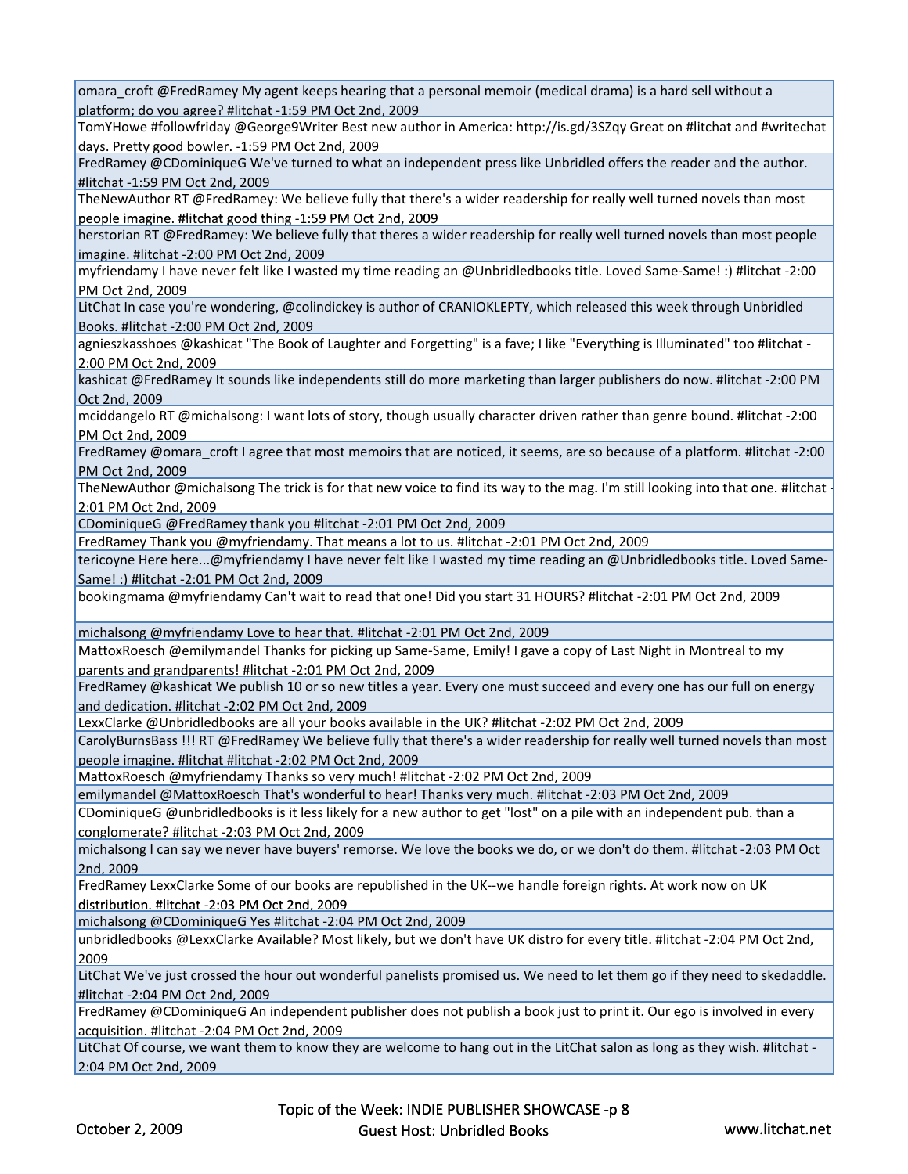omara\_croft @FredRamey My agent keeps hearing that a personal memoir (medical drama) is a hard sell without a platform; do you agree? #litchat ‐1:59 PM Oct 2nd, 2009

TomYHowe #followfriday @George9Writer Best new author in America: http://is.gd/3SZqy Great on #litchat and #writechat days. Pretty good bowler. ‐1:59 PM Oct 2nd, 2009

FredRamey @CDominiqueG We've turned to what an independent press like Unbridled offers the reader and the author. #litchat ‐1:59 PM Oct 2nd, 2009

TheNewAuthor RT @FredRamey: We believe fully that there's a wider readership for really well turned novels than most people imagine. #litchat good thing -1:59 PM Oct 2nd, 2009

herstorian RT @FredRamey: We believe fully that theres a wider readership for really well turned novels than most people imagine. #litchat ‐2:00 PM Oct 2nd, 2009

myfriendamy I have never felt like I wasted my time reading an @Unbridledbooks title. Loved Same‐Same! :) #litchat ‐2:00 PM Oct 2nd, 2009

LitChat In case you're wondering, @colindickey is author of CRANIOKLEPTY, which released this week through Unbridled Books. #litchat ‐2:00 PM Oct 2nd, 2009

agnieszkasshoes @kashicat "The Book of Laughter and Forgetting" is a fave; I like "Everything is Illuminated" too #litchat ‐ 2:00 PM Oct 2nd, 2009

kashicat @FredRamey It sounds like independents still do more marketing than larger publishers do now. #litchat ‐2:00 PM Oct 2nd, 2009

mciddangelo RT @michalsong: I want lots of story, though usually character driven rather than genre bound. #litchat ‐2:00 PM Oct 2nd, 2009

FredRamey @omara\_croft I agree that most memoirs that are noticed, it seems, are so because of a platform. #litchat -2:00 PM Oct 2nd, 2009

TheNewAuthor @michalsong The trick is for that new voice to find its way to the mag. I'm still looking into that one. #litchat ‐ 2:01 PM Oct 2nd, 2009

CDominiqueG @FredRamey thank you #litchat ‐2:01 PM Oct 2nd, 2009

FredRamey Thank you @myfriendamy. That means a lot to us. #litchat ‐2:01 PM Oct 2nd, 2009

tericoyne Here here...@myfriendamy I have never felt like I wasted my time reading an @Unbridledbooks title. Loved Same-Same! :) #litchat ‐2:01 PM Oct 2nd, 2009

bookingmama @myfriendamy Can't wait to read that one! Did you start 31 HOURS? #litchat ‐2:01 PM Oct 2nd, 2009

michalsong @myfriendamy Love to hear that. #litchat -2:01 PM Oct 2nd, 2009

MattoxRoesch @emilymandel Thanks for picking up Same‐Same, Emily! I gave a copy of Last Night in Montreal to my parents and grandparents! #litchat ‐2:01 PM Oct 2nd, 2009

FredRamey @kashicat We publish 10 or so new titles a year. Every one must succeed and every one has our full on energy and dedication. #litchat ‐2:02 PM Oct 2nd, 2009

LexxClarke @Unbridledbooks are all your books available in the UK? #litchat ‐2:02 PM Oct 2nd, 2009

CarolyBurnsBass !!! RT @FredRamey We believe fully that there's a wider readership for really well turned novels than most people imagine. #litchat #litchat ‐2:02 PM Oct 2nd, 2009

MattoxRoesch @myfriendamy Thanks so very much! #litchat ‐2:02 PM Oct 2nd, 2009

emilymandel @MattoxRoesch That's wonderful to hear! Thanks very much. #litchat ‐2:03 PM Oct 2nd, 2009

CDominiqueG @unbridledbooks is it less likely for a new author to get "lost" on a pile with an independent pub. than a conglomerate? #litchat ‐2:03 PM Oct 2nd, 2009

michalsong I can say we never have buyers' remorse. We love the books we do, or we don't do them. #litchat ‐2:03 PM Oct 2nd, 2009

FredRamey LexxClarke Some of our books are republished in the UK‐‐we handle foreign rights. At work now on UK distribution. #litchat -2:03 PM Oct 2nd, 2009

michalsong @CDominiqueG Yes #litchat ‐2:04 PM Oct 2nd, 2009

unbridledbooks @LexxClarke Available? Most likely, but we don't have UK distro for every title. #litchat ‐2:04 PM Oct 2nd, 2009

LitChat We've just crossed the hour out wonderful panelists promised us. We need to let them go if they need to skedaddle. #litchat ‐2:04 PM Oct 2nd, 2009

FredRamey @CDominiqueG An independent publisher does not publish a book just to print it. Our ego is involved in every acquisition. #litchat ‐2:04 PM Oct 2nd, 2009

LitChat Of course, we want them to know they are welcome to hang out in the LitChat salon as long as they wish. #litchat -2:04 PM Oct 2nd, 2009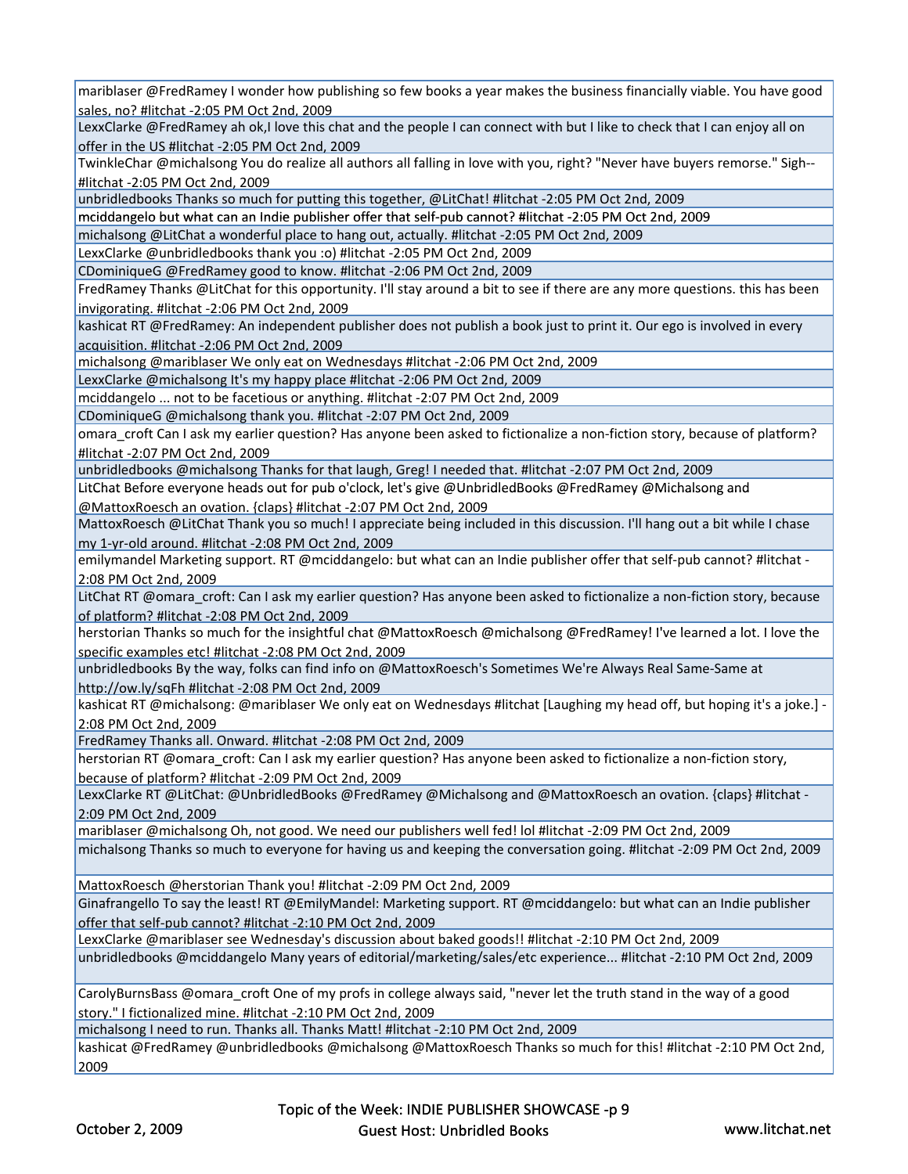mariblaser @FredRamey I wonder how publishing so few books a year makes the business financially viable. You have good sales, no? #litchat ‐2:05 PM Oct 2nd, 2009

LexxClarke @FredRamey ah ok,I love this chat and the people I can connect with but I like to check that I can enjoy all on offer in the US #litchat ‐2:05 PM Oct 2nd, 2009

TwinkleChar @michalsong You do realize all authors all falling in love with you, right? "Never have buyers remorse." Sigh‐‐ #litchat ‐2:05 PM Oct 2nd, 2009

unbridledbooks Thanks so much for putting this together, @LitChat! #litchat ‐2:05 PM Oct 2nd, 2009

mciddangelo but what can an Indie publisher offer that self-pub cannot? #litchat -2:05 PM Oct 2nd, 2009

michalsong @LitChat a wonderful place to hang out, actually. #litchat ‐2:05 PM Oct 2nd, 2009

LexxClarke @unbridledbooks thank you :o) #litchat ‐2:05 PM Oct 2nd, 2009

CDominiqueG @FredRamey good to know. #litchat ‐2:06 PM Oct 2nd, 2009

FredRamey Thanks @LitChat for this opportunity. I'll stay around a bit to see if there are any more questions. this has been invigorating. #litchat ‐2:06 PM Oct 2nd, 2009

kashicat RT @FredRamey: An independent publisher does not publish a book just to print it. Our ego is involved in every acquisition. #litchat ‐2:06 PM Oct 2nd, 2009

michalsong @mariblaser We only eat on Wednesdays #litchat ‐2:06 PM Oct 2nd, 2009

LexxClarke @michalsong It's my happy place #litchat ‐2:06 PM Oct 2nd, 2009

mciddangelo ... not to be facetious or anything. #litchat ‐2:07 PM Oct 2nd, 2009

CDominiqueG @michalsong thank you. #litchat ‐2:07 PM Oct 2nd, 2009

omara croft Can I ask my earlier question? Has anyone been asked to fictionalize a non-fiction story, because of platform? #litchat ‐2:07 PM Oct 2nd, 2009

unbridledbooks @michalsong Thanks for that laugh, Greg! I needed that. #litchat ‐2:07 PM Oct 2nd, 2009

LitChat Before everyone heads out for pub o'clock, let's give @UnbridledBooks @FredRamey @Michalsong and @MattoxRoesch an ovation. {claps} #litchat ‐2:07 PM Oct 2nd, 2009

MattoxRoesch @LitChat Thank you so much! I appreciate being included in this discussion. I'll hang out a bit while I chase my 1‐yr‐old around. #litchat ‐2:08 PM Oct 2nd, 2009

emilymandel Marketing support. RT @mciddangelo: but what can an Indie publisher offer that self-pub cannot? #litchat -2:08 PM Oct 2nd, 2009

LitChat RT @omara croft: Can I ask my earlier question? Has anyone been asked to fictionalize a non-fiction story, because of platform? #litchat ‐2:08 PM Oct 2nd, 2009

herstorian Thanks so much for the insightful chat @MattoxRoesch @michalsong @FredRamey! I've learned a lot. I love the specific examples etc! #litchat ‐2:08 PM Oct 2nd, 2009

unbridledbooks By the way, folks can find info on @MattoxRoesch's Sometimes We're Always Real Same‐Same at http://ow.ly/sqFh #litchat ‐2:08 PM Oct 2nd, 2009

kashicat RT @michalsong: @mariblaser We only eat on Wednesdays #litchat [Laughing my head off, but hoping it's a joke.] • 2:08 PM Oct 2nd, 2009

FredRamey Thanks all. Onward. #litchat ‐2:08 PM Oct 2nd, 2009

herstorian RT @omara\_croft: Can I ask my earlier question? Has anyone been asked to fictionalize a non-fiction story, because of platform? #litchat ‐2:09 PM Oct 2nd, 2009

LexxClarke RT @LitChat: @UnbridledBooks @FredRamey @Michalsong and @MattoxRoesch an ovation. {claps} #litchat ‐ 2:09 PM Oct 2nd, 2009

mariblaser @michalsong Oh, not good. We need our publishers well fed! lol #litchat ‐2:09 PM Oct 2nd, 2009

michalsong Thanks so much to everyone for having us and keeping the conversation going. #litchat ‐2:09 PM Oct 2nd, 2009

MattoxRoesch @herstorian Thank you! #litchat ‐2:09 PM Oct 2nd, 2009

Ginafrangello To say the least! RT @EmilyMandel: Marketing support. RT @mciddangelo: but what can an Indie publisher offer that self‐pub cannot? #litchat ‐2:10 PM Oct 2nd, 2009

LexxClarke @mariblaser see Wednesday's discussion about baked goods!! #litchat ‐2:10 PM Oct 2nd, 2009

unbridledbooks @mciddangelo Many years of editorial/marketing/sales/etc experience... #litchat ‐2:10 PM Oct 2nd, 2009

CarolyBurnsBass @omara\_croft One of my profs in college always said, "never let the truth stand in the way of a good story." I fictionalized mine. #litchat ‐2:10 PM Oct 2nd, 2009

michalsong I need to run. Thanks all. Thanks Matt! #litchat ‐2:10 PM Oct 2nd, 2009

kashicat @FredRamey @unbridledbooks @michalsong @MattoxRoesch Thanks so much for this! #litchat ‐2:10 PM Oct 2nd, 2009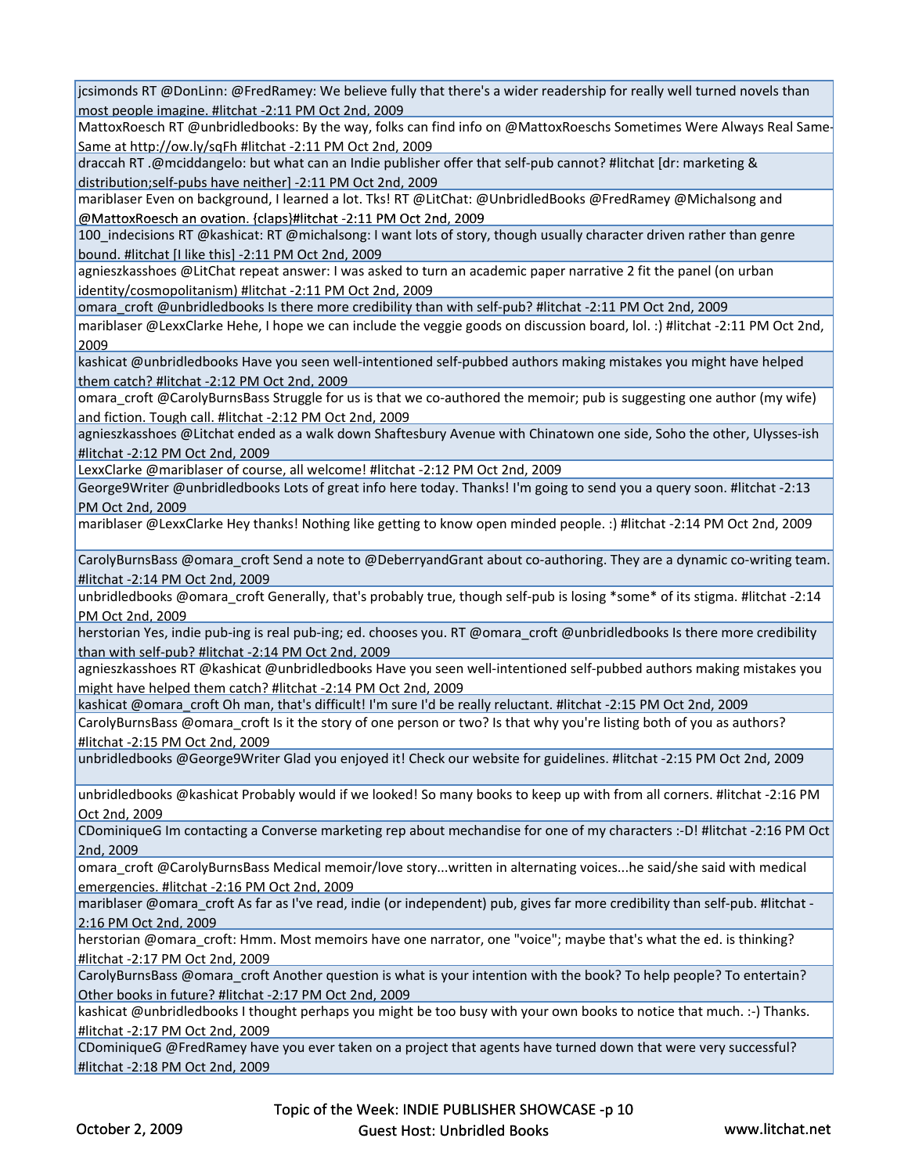jcsimonds RT @DonLinn: @FredRamey: We believe fully that there's a wider readership for really well turned novels than most people imagine. #litchat ‐2:11 PM Oct 2nd, 2009

MattoxRoesch RT @unbridledbooks: By the way, folks can find info on @MattoxRoeschs Sometimes Were Always Real Same-Same at http://ow.ly/sqFh #litchat ‐2:11 PM Oct 2nd, 2009

draccah RT .@mciddangelo: but what can an Indie publisher offer that self‐pub cannot? #litchat [dr: marketing & distribution;self‐pubs have neither] ‐2:11 PM Oct 2nd, 2009

mariblaser Even on background, I learned a lot. Tks! RT @LitChat: @UnbridledBooks @FredRamey @Michalsong and @MattoxRoesch an ovation. {claps}#litchat -2:11 PM Oct 2nd, 2009

100\_indecisions RT @kashicat: RT @michalsong: I want lots of story, though usually character driven rather than genre bound. #litchat [I like this] ‐2:11 PM Oct 2nd, 2009

agnieszkasshoes @LitChat repeat answer: I was asked to turn an academic paper narrative 2 fit the panel (on urban identity/cosmopolitanism) #litchat ‐2:11 PM Oct 2nd, 2009

omara\_croft @unbridledbooks Is there more credibility than with self‐pub? #litchat ‐2:11 PM Oct 2nd, 2009

mariblaser @LexxClarke Hehe, I hope we can include the veggie goods on discussion board, lol. :) #litchat ‐2:11 PM Oct 2nd, 2009

kashicat @unbridledbooks Have you seen well‐intentioned self‐pubbed authors making mistakes you might have helped them catch? #litchat ‐2:12 PM Oct 2nd, 2009

omara\_croft @CarolyBurnsBass Struggle for us is that we co‐authored the memoir; pub is suggesting one author (my wife) and fiction. Tough call. #litchat ‐2:12 PM Oct 2nd, 2009

agnieszkasshoes @Litchat ended as a walk down Shaftesbury Avenue with Chinatown one side, Soho the other, Ulysses-ish #litchat ‐2:12 PM Oct 2nd, 2009

LexxClarke @mariblaser of course, all welcome! #litchat ‐2:12 PM Oct 2nd, 2009

George9Writer @unbridledbooks Lots of great info here today. Thanks! I'm going to send you a query soon. #litchat -2:13 PM Oct 2nd, 2009

mariblaser @LexxClarke Hey thanks! Nothing like getting to know open minded people. :) #litchat ‐2:14 PM Oct 2nd, 2009

CarolyBurnsBass @omara\_croft Send a note to @DeberryandGrant about co‐authoring. They are a dynamic co‐writing team. #litchat ‐2:14 PM Oct 2nd, 2009

unbridledbooks @omara\_croft Generally, that's probably true, though self-pub is losing \*some\* of its stigma. #litchat -2:14 PM Oct 2nd, 2009

herstorian Yes, indie pub-ing is real pub-ing; ed. chooses you. RT @ omara\_croft @ unbridledbooks Is there more credibility than with self‐pub? #litchat ‐2:14 PM Oct 2nd, 2009

agnieszkasshoes RT @kashicat @unbridledbooks Have you seen well-intentioned self-pubbed authors making mistakes you might have helped them catch? #litchat ‐2:14 PM Oct 2nd, 2009

kashicat @omara\_croft Oh man, that's difficult! I'm sure I'd be really reluctant. #litchat ‐2:15 PM Oct 2nd, 2009

CarolyBurnsBass @omara\_croft Is it the story of one person or two? Is that why you're listing both of you as authors? #litchat ‐2:15 PM Oct 2nd, 2009

unbridledbooks @ gGeore9Writer Glad you enjoyed it! Check our website for guidelines. #litchat ‐2:15 PM Oct 2nd, 2009

unbridledbooks @kashicat Probably would if we looked! So many books to keep up with from all corners. #litchat ‐2:16 PM Oct 2nd, 2009

CDominiqueG Im contacting a Converse marketing rep about mechandise for one of my characters :‐D! #litchat ‐2:16 PM Oct 2nd, 2009

omara croft @CarolyBurnsBass Medical memoir/love story...written in alternating voices...he said/she said with medical emergencies. #litchat ‐2:16 PM Oct 2nd, 2009

mariblaser @omara\_croft As far as I've read, indie (or independent) pub, gives far more credibility than self-pub. #litchat -2:16 PM Oct 2nd, 2009

herstorian @omara\_croft: Hmm. Most memoirs have one narrator, one "voice"; maybe that's what the ed. is thinking? #litchat ‐2:17 PM Oct 2nd, 2009

CarolyBurnsBass @omara\_croft Another question is what is your intention with the book? To help people? To entertain? Other books in future? #litchat ‐2:17 PM Oct 2nd, 2009

kashicat @unbridledbooks I thought perhaps you might be too busy with your own books to notice that much. :‐) Thanks. #litchat ‐2:17 PM Oct 2nd, 2009

CDominiqueG @FredRamey have you ever taken on a project that agents have turned down that were very successful? #litchat ‐2:18 PM Oct 2nd, 2009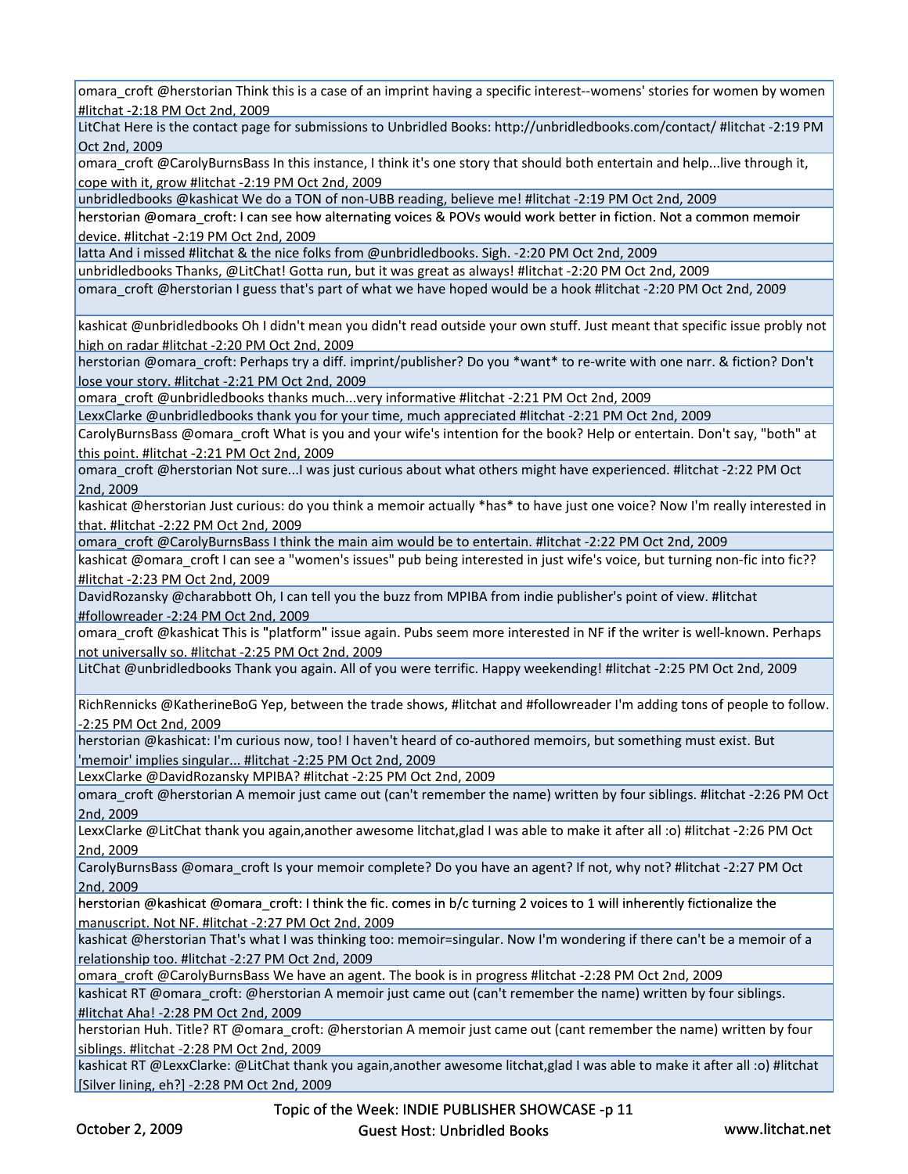omara\_croft @herstorian Think this is a case of an imprint having a specific interest--womens' stories for women by women #litchat ‐2:18 PM Oct 2nd, 2009

LitChat Here is the contact page for submissions to Unbridled Books: http://unbridledbooks.com/contact/ #litchat ‐2:19 PM Oct 2nd, 2009

omara\_croft @CarolyBurnsBass In this instance, I think it's one story that should both entertain and help...live through it, cope with it, grow #litchat ‐2:19 PM Oct 2nd, 2009

unbridledbooks @kashicat We do a TON of non‐UBB reading, believe me! #litchat ‐2:19 PM Oct 2nd, 2009

herstorian @omara\_croft: I can see how alternating voices & POVs would work better in fiction. Not a common memoir device. #litchat ‐2:19 PM Oct 2nd, 2009

latta And i missed #litchat & the nice folks from @unbridledbooks. Sigh. ‐2:20 PM Oct 2nd, 2009

unbridledbooks Thanks, @LitChat! Gotta run, but it was great as always! #litchat ‐2:20 PM Oct 2nd, 2009

omara\_croft @herstorian I guess that's part of what we have hoped would be a hook #litchat ‐2:20 PM Oct 2nd, 2009

kashicat @unbridledbooks Oh I didn't mean you didn't read outside your own stuff. Just meant that specific issue probly not high on radar #litchat ‐2:20 PM Oct 2nd, 2009

herstorian @omara\_croft: Perhaps try a diff. imprint/publisher? Do you \*want\* to re-write with one narr. & fiction? Don't lose your story. #litchat ‐2:21 PM Oct 2nd, 2009

omara\_croft @unbridledbooks thanks much...very informative #litchat ‐2:21 PM Oct 2nd, 2009

LexxClarke @unbridledbooks thank you for your time, much appreciated #litchat ‐2:21 PM Oct 2nd, 2009

CarolyBurnsBass @omara\_croft What is you and your wife's intention for the book? Help or entertain. Don't say, "both" at this point. #litchat ‐2:21 PM Oct 2nd, 2009

omara\_croft @herstorian Not sure...I was just curious about what others might have experienced. #litchat ‐2:22 PM Oct 2nd, 2009

kashicat @herstorian Just curious: do you think a memoir actually \*has\* to have just one voice? Now I'm really interested in that. #litchat ‐2:22 PM Oct 2nd, 2009

omara\_croft @CarolyBurnsBass I think the main aim would be to entertain. #litchat ‐2:22 PM Oct 2nd, 2009

kashicat @omara\_croft I can see a "women's issues" pub being interested in just wife's voice, but turning non-fic into fic?? #litchat ‐2:23 PM Oct 2nd, 2009

DavidRozansky @charabbott Oh, I can tell you the buzz from MPIBA from indie publisher's point of view. #litchat #followreader ‐2:24 PM Oct 2nd, 2009

omara\_croft @kashicat This is "platform" issue again. Pubs seem more interested in NF if the writer is well-known. Perhaps not universally so. #litchat ‐2:25 PM Oct 2nd, 2009

LitChat @unbridledbooks Thank you again. All of you were terrific. Happy weekending! #litchat ‐2:25 PM Oct 2nd, 2009

RichRennicks @KatherineBoG Yep, between the trade shows, #litchat and #followreader I'm adding tons of people to follow. ‐2:25 PM Oct 2nd, 2009

herstorian @kashicat: I'm curious now, too! I haven't heard of co‐authored memoirs, but something must exist. But 'memoir' implies singular... #litchat -2:25 PM Oct 2nd, 2009

LexxClarke @DavidRozansky MPIBA? #litchat ‐2:25 PM Oct 2nd, 2009

omara croft @herstorian A memoir just came out (can't remember the name) written by four siblings. #litchat -2:26 PM Oct 2nd, 2009

LexxClarke @LitChat thank you again,another awesome litchat,glad I was able to make it after all :o) #litchat ‐2:26 PM Oct 2nd, 2009

CarolyBurnsBass @omara\_croft Is your memoir complete? Do you have an agent? If not, why not? #litchat ‐2:27 PM Oct 2nd, 2009

herstorian @kashicat @omara\_croft: I think the fic. comes in b/c turning 2 voices to 1 will inherently fictionalize the manuscript. Not NF. #litchat ‐2:27 PM Oct 2nd, 2009

kashicat @herstorian That's what I was thinking too: memoir=singular. Now I'm wondering if there can't be a memoir of a relationship too. #litchat ‐2:27 PM Oct 2nd, 2009

omara\_croft @CarolyBurnsBass We have an agent. The book is in progress #litchat ‐2:28 PM Oct 2nd, 2009

kashicat RT @omara\_croft: @herstorian A memoir just came out (can't remember the name) written by four siblings. #litchat Aha! ‐2:28 PM Oct 2nd, 2009

herstorian Huh. Title? RT @omara\_croft: @herstorian A memoir just came out (cant remember the name) written by four siblings. #litchat ‐2:28 PM Oct 2nd, 2009

kashicat RT @LexxClarke: @LitChat thank you again,another awesome litchat,glad I was able to make it after all :o) #litchat [Silver lining, eh?] ‐2:28 PM Oct 2nd, 2009